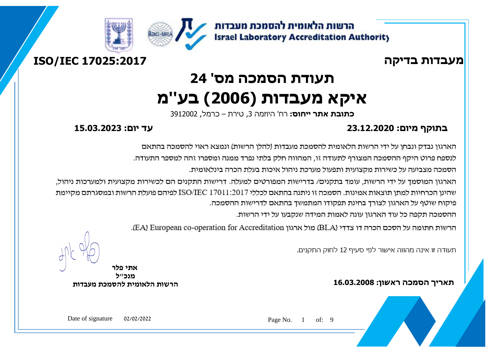







# **תעודת הסמכה מס' 24 איקא מעבדות )2006( בע''מ**

**כתובת אתר ייחוס:** רח' היוזמה 3, טירת – כרמל, 3912002

### **בתוקף מיום: 23.12.2020 עד יום: 15.03.2023**

הארגון נבדק ונבחן על ידי הרשות הלאומית להסמכת מעבדות (להלן הרשות) ונמצא ראוי להסמכה בהתאם

לנספח פרוט היקף ההסמכה המצורף לתעודה זו. המהווה חלק בלתי נפרד ממנה ומספרו זהה למספר התעודה.

הסמכה מצביעה על כשירות מקצועית ותפעול מערכת ניהול איכות בעלת הכרה בינלאומית.

הארגון המוסמך על ידי הרשות, עומד בתקנים/ בדרישות המפורטים למעלה. דרישות התקנים הם לכשירות מקצועית ולמערכות ניהול, שהינו הכרחיות למתו תוצאות אמינות. הסמכה זו ניתנה בהתאם לכללי ISO/IEC 17011:2017 לפיהם פועלת הרשות ובמסגרתם מקיימת פיקוח שוטף על הארגון לצורך בחינת תפקודו המתמשך בהתאם לדרישות ההסמכה.

ההסמכה תקפה כל עוד הארגון עונה לאמות המידה שנקבעו על ידי הרשות.

הרשות חתומה על הסכם הכרה דו צדדי (BLA) מול ארגון EA) European co-operation for Accreditation).

תעודה זו אינה מהווה אישור לפי סעיף 12 לחוק התקנים.

**תאריך הסמכה ראשון: 16.03.2008**

ľ

 $\overline{a}$ 

**אתי פלר מנכ"ל הרשות הלאומית להסמכת מעבדות**

Page No. 1 of: 9

Date of signature 02/02/2022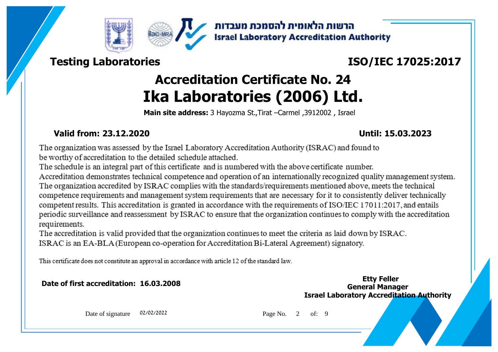



## **Testing Laboratories**

# **ISO/IEC 17025:2017**

# **Accreditation Certificate No. 24 Ika Laboratories (2006) Ltd.**

**Main site address:** 3 Hayozma St.,Tirat –Carmel ,3912002 , Israel

### **Valid from: 23.12.2020 Until: 15.03.2023**

The organization was assessed by the Israel Laboratory Accreditation Authority (ISRAC) and found to be worthy of accreditation to the detailed schedule attached.

The schedule is an integral part of this certificate and is numbered with the above certificate number.

Accreditation demonstrates technical competence and operation of an internationally recognized quality management system. The organization accredited by ISRAC complies with the standards/requirements mentioned above, meets the technical competence requirements and management system requirements that are necessary for it to consistently deliver technically competent results. This accreditation is granted in accordance with the requirements of ISO/IEC 17011:2017, and entails periodic surveillance and reassessment by ISRAC to ensure that the organization continues to comply with the accreditation requirements.

The accreditation is valid provided that the organization continues to meet the criteria as laid down by ISRAC. ISRAC is an EA-BLA (European co-operation for Accreditation Bi-Lateral Agreement) signatory.

This certificate does not constitute an approval in accordance with article 12 of the standard law.

### **Date of first accreditation: 16.03.2008 General Manager**

# **Israel Laboratory Accreditation Authority Etty Feller**

Date of signature 02/02/2022 Page No. 2 of: 9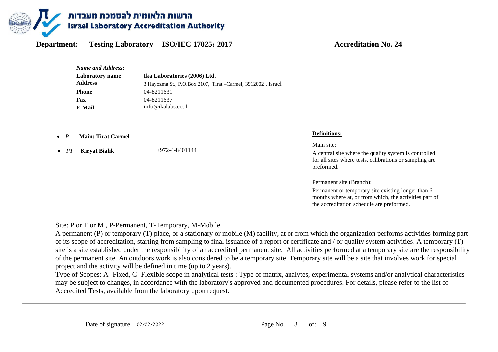

*Name and Address***: Ika Laboratories (2006) Ltd.**  3 Hayozma St., P.O.Box 2107, Tirat –Carmel, 3912002 , Israel **Laboratory name Address Phone** 04-8211631 **Fax** 04-8211637 **E-Mail**  $\frac{\text{info@ikalabs.co.id}}{}$ 

- *<sup>P</sup>* **Main: Tirat Carmel Definitions:**
- *P1* **Kiryat Bialik** +972-4-8401144

Main site:

A central site where the quality system is controlled for all sites where tests, calibrations or sampling are preformed.

Permanent site (Branch):

Permanent or temporary site existing longer than 6 months where at, or from which, the activities part of the accreditation schedule are preformed.

Site: P or T or M , P-Permanent, T-Temporary, M-Mobile

A permanent (P) or temporary (T) place, or a stationary or mobile (M) facility, at or from which the organization performs activities forming part of its scope of accreditation, starting from sampling to final issuance of a report or certificate and / or quality system activities. A temporary (T) site is a site established under the responsibility of an accredited permanent site. All activities performed at a temporary site are the responsibility of the permanent site. An outdoors work is also considered to be a temporary site. Temporary site will be a site that involves work for special project and the activity will be defined in time (up to 2 years).

Type of Scopes: A- Fixed, C- Flexible scope in analytical tests : Type of matrix, analytes, experimental systems and/or analytical characteristics may be subject to changes, in accordance with the laboratory's approved and documented procedures. For details, please refer to the list of Accredited Tests, available from the laboratory upon request.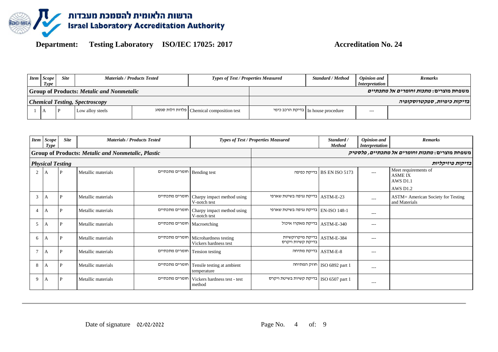

| <b>Item</b> Scope<br>Type | <b>Site</b> |                                                  | <b>Materials / Products Tested</b> | <b>Types of Test / Properties Measured</b>   | <b>Standard / Method</b>             | <b>Opinion</b> and<br><i>Interpretation</i> | <b>Remarks</b>                                |
|---------------------------|-------------|--------------------------------------------------|------------------------------------|----------------------------------------------|--------------------------------------|---------------------------------------------|-----------------------------------------------|
|                           |             | <b>Group of Products: Metalic and Nonmetalic</b> |                                    |                                              |                                      |                                             | משפחת מוצרים: <i>מתכות וחומרים אל מתכתיים</i> |
|                           |             | <b>Chemical Testing, Spectroscopy</b>            |                                    |                                              |                                      |                                             | בדיקות כימיות, ספקטרוסקופיה                   |
|                           |             | Low alloy steels                                 |                                    | Chemical composition test   פלדות דלות סגסוג | In house procedure   בדיקת הרכב כימי | $---$                                       |                                               |

| <b>Item</b> | <b>Scope</b><br>Type    | <b>Site</b> |                                                           | <b>Materials / Products Tested</b> |                                                | <b>Types of Test / Properties Measured</b>         | Standard /<br><b>Method</b>  | <b>Opinion</b> and<br><i>Interpretation</i> | <b>Remarks</b>                                              |
|-------------|-------------------------|-------------|-----------------------------------------------------------|------------------------------------|------------------------------------------------|----------------------------------------------------|------------------------------|---------------------------------------------|-------------------------------------------------------------|
|             |                         |             | <b>Group of Products: Metalic and Nonmetalic, Plastic</b> |                                    |                                                |                                                    |                              |                                             | משפחת מוצרים: <i>מתכות וחומרים אל מתכתיים, פלסטיק</i>       |
|             | <b>Physical Testing</b> |             |                                                           |                                    |                                                |                                                    |                              |                                             | בדיקות פיזיקליות                                            |
| 2           | A                       | P           | Metallic materials                                        | חומרים מתכתיים                     | Bending test                                   |                                                    | BS EN ISO 5173   בדיקת כפיפה | $---$                                       | Meet requirements of<br><b>ASME IX</b><br>AWS D1.1          |
|             |                         |             |                                                           |                                    |                                                |                                                    |                              |                                             | <b>AWS D1.2</b>                                             |
| 3           | А                       | P           | Metallic materials                                        | חומרים מתכתיים                     | Charpy impact method using<br>V-notch test     | ASTM-E-23   בדיקת נגיפה בשיטת שארפי                |                              | $\cdots$                                    | <b>ASTM</b> = American Society for Testing<br>and Materials |
|             | A                       | P           | Metallic materials                                        | חומרים מתכתיים                     | Charpy impact method using<br>V-notch test     | EN-ISO 148-1   בדיקת נגיפה בשיטת שארפי             |                              | $---$                                       |                                                             |
| 5           | A                       | P           | Metallic materials                                        | חומרים מתכתיים                     | Macroetching                                   | ASTM-E-340   בדיקת מאקרו איכול                     |                              | $---$                                       |                                                             |
| 6           | A                       | D           | Metallic materials                                        | חומרים מתכתיים                     | Microhardness testing<br>Vickers hardness test | ASTM-E-384   בדיקת מיקרוקשיות<br>בדיקת קשיות ויקרס |                              | $---$                                       |                                                             |
| $\tau$      | A                       | P           | Metallic materials                                        | חומרים מתכתיים                     | Tension testing                                | ASTM-E-8   בדיקת מתיחה                             |                              | ---                                         |                                                             |
| 8           | A                       | P           | Metallic materials                                        | חומרים מתכתיים                     | Tensile testing at ambient<br>temperature      |                                                    | ISO 6892 part 1              | ---                                         |                                                             |
| 9           | A                       | P           | Metallic materials                                        | חומרים מתכתיים                     | Vickers hardness test - test<br>method         | בדיקת קשיות בשיטת ויקרס   ISO 6507 part 1          |                              | $---$                                       |                                                             |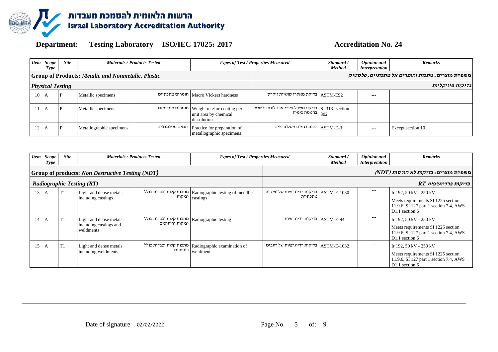

|                                                           | <b>Item</b> Scope<br>Type | <b>Site</b>             | <b>Materials / Products Tested</b> |  |                                                                                     | <b>Types of Test / Properties Measured</b>                       | Standard /<br><b>Method</b> | <b>Opinion</b> and<br><i>Interpretation</i> | <b>Remarks</b>                                        |
|-----------------------------------------------------------|---------------------------|-------------------------|------------------------------------|--|-------------------------------------------------------------------------------------|------------------------------------------------------------------|-----------------------------|---------------------------------------------|-------------------------------------------------------|
| <b>Group of Products: Metalic and Nonmetalic, Plastic</b> |                           |                         |                                    |  |                                                                                     |                                                                  |                             |                                             | משפחת מוצרים: <i>מתכות וחומרים אל מתכתיים, פלסטיק</i> |
|                                                           |                           | <b>Physical Testing</b> |                                    |  |                                                                                     |                                                                  |                             |                                             | בדיקות פיזיקליות                                      |
| $10\quad A$                                               |                           | P                       | Metallic specimens                 |  | Macro Vickers hardness   חומרים מתכתיים                                             | ASTM-E92   בדיקת מאקרו קושיות ויקרס                              |                             | $---$                                       |                                                       |
| $11 \mathsf{A}$                                           |                           |                         | Metallic specimens                 |  | Neight of zinc coating per   חומרים מתכתיים<br>unit area by chemical<br>dissolution | SI 313 -section   בדיקת משקל ציפוי אבץ ליחידת שטח<br>בהמסה כימית |                             | $---$                                       |                                                       |
| 12                                                        |                           |                         | Metallographic specimens           |  | דגמים מטלוגרפים Practice for preparation of<br>metallographic specimens             | ASTM-E-3   הכנת דגמים מטלוגרפיים                                 |                             | $---$                                       | Except section 10                                     |

|                                  | <b>Item</b> Scope<br>Type | <b>Site</b> |                                                               | <b>Materials / Products Tested</b>        | <b>Types of Test / Properties Measured</b>                        | Standard /<br><b>Method</b>                          | <b>Opinion</b> and<br><i>Interpretation</i> | <b>Remarks</b> |                                                                                                                          |
|----------------------------------|---------------------------|-------------|---------------------------------------------------------------|-------------------------------------------|-------------------------------------------------------------------|------------------------------------------------------|---------------------------------------------|----------------|--------------------------------------------------------------------------------------------------------------------------|
|                                  |                           |             | Group of products: Non Destructive Testing (NDT)              |                                           |                                                                   |                                                      |                                             |                | משפחת מוצרים: <i>בדיקות לא הורסות (NDT</i> )                                                                             |
| <b>Radiographic Testing (RT)</b> |                           |             |                                                               |                                           |                                                                   |                                                      |                                             |                | בדיקות ברדיוגרפיה RT                                                                                                     |
| 13                               | I A                       | T1          | Light and dense metals<br>including castings                  | מתכות קלות וכבדות כולל<br>יציקות          | Radiographic testing of metallic<br>castings                      | ASTM-E-1030   בדיקות רדיוגרפיות של יציקות<br>מתכתיות |                                             | $---$          | Ir 192, 50 kV - 250 kV<br>Meets requirements SI 1225 section<br>11.9.6, SI 127 part 1 section 7.4, AWS<br>D1.1 section 6 |
| $14$ A                           |                           | T1          | Light and dense metals<br>including castings and<br>weldments | מתכות קלות וכבדות כולל<br>יציקות וריתוכים | Radiographic testing                                              | ASTM-E-94   בדיקות רדיוגרפיות                        |                                             | $---$          | Ir 192, 50 kV - 250 kV<br>Meets requirements SI 1225 section<br>11.9.6, SI 127 part 1 section 7.4, AWS<br>D1.1 section 6 |
| 15                               | A                         | T1          | Light and dense metals<br>including weldments                 | ריתוכים                                   | מתכות קלות וכבדות כולל   Radiographic examination of<br>weldments | ASTM-E-1032   בדיקות רדיוגרפיות של רתכים             |                                             | ---            | Ir 192, 50 kV - 250 kV<br>Meets requirements SI 1225 section<br>11.9.6, SI 127 part 1 section 7.4, AWS<br>D1.1 section 6 |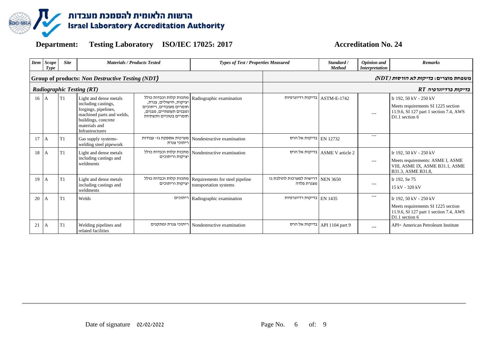

|    | Item Scope<br><b>Type</b>                        | <b>Site</b>    | <b>Materials / Products Tested</b>                                                                                                                            |                                                                                                        | Types of Test / Properties Measured                       |                                                   | Standard /<br><b>Method</b> | <b>Opinion</b> and<br><i>Interpretation</i> | <b>Remarks</b>                                                                                                           |
|----|--------------------------------------------------|----------------|---------------------------------------------------------------------------------------------------------------------------------------------------------------|--------------------------------------------------------------------------------------------------------|-----------------------------------------------------------|---------------------------------------------------|-----------------------------|---------------------------------------------|--------------------------------------------------------------------------------------------------------------------------|
|    | Group of products: Non Destructive Testing (NDT) |                |                                                                                                                                                               |                                                                                                        |                                                           |                                                   |                             |                                             | משפחת מוצרים: <i>בדיקות לא הורסות (NDT</i> )                                                                             |
|    | <b>Radiographic Testing (RT)</b>                 |                |                                                                                                                                                               |                                                                                                        |                                                           |                                                   |                             |                                             | בדיקות ברדיוגרפיה RT                                                                                                     |
| 16 | l A                                              | T1             | Light and dense metals<br>including castings,<br>forgings, pipelines,<br>machined parts and welds,<br>buildings, concrete<br>materials and<br>Infrastructures | יציקות, חישולים, צנרת.<br>חומרים מעובדים, ריתוכים<br>ומבנים תעופתיים, מבנים,<br>חומרים בטוניים ותשתיות | מתכות קלות וכבדות כולל Radiographic examination           | בדיקות רדיוגרפיות                                 | ASTM-E-1742                 | $---$                                       | Ir 192, 50 kV - 250 kV<br>Meets requirements SI 1225 section<br>11.9.6, SI 127 part 1 section 7.4, AWS<br>D1.1 section 6 |
| 17 | ΙA.                                              | T1             | Gas supply systems-<br>welding steel pipework                                                                                                                 | מערכות אספקת גז- עבודות<br>ריתוכי צנרת                                                                 | Nondestructive examination                                | בדיקות אל הרס EN 12732                            |                             | $---$                                       |                                                                                                                          |
| 18 | А                                                | T1             | Light and dense metals<br>including castings and<br>weldments                                                                                                 | מתכות קלות וכבדות כולל<br>יציקות וריתוכים                                                              | Nondestructive examination                                | בדיקות אל הרס                                     | <b>ASME V</b> article 2     | $\cdots$                                    | Ir 192, 50 kV - 250 kV<br>Meets requirements: ASME I, ASME<br>VIII, ASME IX, ASME B31.1, ASME<br>B31.3, ASME B31.8,      |
| 19 | ΙA.                                              | T1             | Light and dense metals<br>including castings and<br>weldments                                                                                                 | מתכות קלות וכבדות כולל<br>יציקות וריתוכים                                                              | Requirements for steel pipeline<br>transportation systems | NEN 3650   דרישות למערכות להולכת גז<br>מצנרת פלדה |                             | $\cdots$                                    | Ir 192, Se 75<br>15 kV - 320 kV                                                                                          |
| 20 | A                                                | T <sub>1</sub> | Welds                                                                                                                                                         | ריתוכים                                                                                                | Radiographic examination                                  | EN 1435 EN                                        |                             | $---$                                       | Ir 192, 50 kV - 250 kV<br>Meets requirements SI 1225 section<br>11.9.6, SI 127 part 1 section 7.4, AWS<br>D1.1 section 6 |
| 21 | A                                                | T1             | Welding pipelines and<br>related facilities                                                                                                                   | ריתוכי צנרת ומתקנים                                                                                    | Nondestructive examination                                | בדיקות אל הרס                                     | API 1104 part 9             | $---$                                       | API= American Petroleum Institute                                                                                        |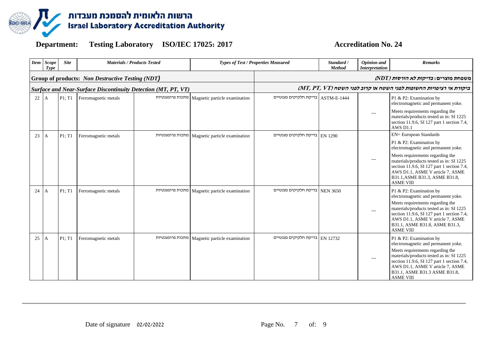

|    | <b>Item</b> Scope<br>Type | <b>Site</b> | <b>Materials / Products Tested</b>                            |                  |                               | <b>Types of Test / Properties Measured</b><br>Standard /<br><b>Method</b> |                 | <b>Opinion</b> and<br><b>Interpretation</b> | <b>Remarks</b>                                                                                                                                                                                                                                                                         |
|----|---------------------------|-------------|---------------------------------------------------------------|------------------|-------------------------------|---------------------------------------------------------------------------|-----------------|---------------------------------------------|----------------------------------------------------------------------------------------------------------------------------------------------------------------------------------------------------------------------------------------------------------------------------------------|
|    |                           |             | Group of products: Non Destructive Testing (NDT)              |                  |                               |                                                                           |                 |                                             | משפחת מוצרים: <i>בדיקות לא הורסות (NDT)</i>                                                                                                                                                                                                                                            |
|    |                           |             | Surface and Near-Surface Discontinuity Detection (MT, PT, VT) |                  |                               |                                                                           |                 |                                             | ביקורת אי רציפויות החשופות לפני השטח או קרוב לפני השטח (MT, PT, VT)                                                                                                                                                                                                                    |
| 22 | A                         | P1; T1      | Ferromagnetic metals                                          | מתכות פרומגנטיות | Magnetic particle examination | ASTM-E-1444   בדיקת חלקיקים מגנטיים                                       |                 |                                             | P1 & P2: Examination by<br>electromagnetic and permanent yoke.                                                                                                                                                                                                                         |
|    |                           |             |                                                               |                  |                               |                                                                           |                 | $---$                                       | Meets requirements regarding the<br>materials/products tested as in: SI 1225<br>section 11.9.6, SI 127 part 1 section 7.4,<br>AWS D1.1                                                                                                                                                 |
| 23 | А                         | P1; T1      | Ferromagnetic metals                                          | מתכות פרומגנטיות | Magnetic particle examination | EN 1290   בדיקת חלקיקים מגנטיים                                           |                 |                                             | <b>EN= European Standards</b>                                                                                                                                                                                                                                                          |
|    |                           |             |                                                               |                  |                               |                                                                           |                 |                                             | P1 & P2: Examination by<br>electromagnetic and permanent yoke.                                                                                                                                                                                                                         |
|    |                           |             |                                                               |                  |                               |                                                                           |                 | $---$                                       | Meets requirements regarding the<br>materials/products tested as in: SI 1225<br>section 11.9.6, SI 127 part 1 section 7.4,<br>AWS D1.1, ASME V article 7, ASME<br>B31.1, ASME B31.3, ASME B31.8,<br><b>ASME VIII</b>                                                                   |
| 24 | A                         | P1; T1      | Ferromagnetic metals                                          | מתכות פרומגנטיות | Magnetic particle examination | בדיקת חלקיקים מגנטיים                                                     | <b>NEN 3650</b> | $--$                                        | P1 & P2: Examination by<br>electromagnetic and permanent yoke.<br>Meets requirements regarding the<br>materials/products tested as in: SI 1225<br>section 11.9.6, SI 127 part 1 section 7.4,<br>AWS D1.1, ASME V article 7, ASME<br>B31.1, ASME B31.8, ASME B31.3,<br><b>ASME VIII</b> |
| 25 | A                         | P1; T1      | Ferromagnetic metals                                          | מתכות פרומגנטיות | Magnetic particle examination | בדיקת חלקיקים מגנטיים                                                     | EN 12732        | $\qquad \qquad -$                           | P1 & P2: Examination by<br>electromagnetic and permanent yoke.<br>Meets requirements regarding the<br>materials/products tested as in: SI 1225<br>section 11.9.6, SI 127 part 1 section 7.4,<br>AWS D1.1, ASME V article 7, ASME<br>B31.1, ASME B31.3 ASME B31.8,<br><b>ASME VIII</b>  |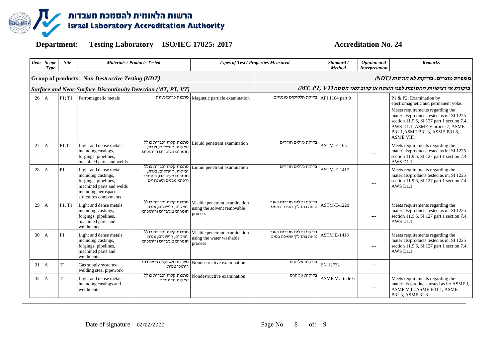

|    | Item Scope<br>Type | <b>Site</b> | <b>Materials / Products Tested</b>                                                                                                                |                                                                                                      | <b>Types of Test / Properties Measured</b>                              |                                                    | Standard /<br><b>Method</b> | Opinion and<br><b>Interpretation</b> | <b>Remarks</b>                                                                                                                                                                                                                                                                         |
|----|--------------------|-------------|---------------------------------------------------------------------------------------------------------------------------------------------------|------------------------------------------------------------------------------------------------------|-------------------------------------------------------------------------|----------------------------------------------------|-----------------------------|--------------------------------------|----------------------------------------------------------------------------------------------------------------------------------------------------------------------------------------------------------------------------------------------------------------------------------------|
|    |                    |             | Group of products: Non Destructive Testing (NDT)                                                                                                  |                                                                                                      |                                                                         | משפחת מוצרים: <i>בדיקות לא הורסות (NDT)</i>        |                             |                                      |                                                                                                                                                                                                                                                                                        |
|    |                    |             | <b>Surface and Near-Surface Discontinuity Detection (MT, PT, VT)</b>                                                                              |                                                                                                      |                                                                         |                                                    |                             |                                      | ביקורת אי רציפויות החשופות לפני השטח או קרוב לפני השטח (MT, PT, VT)                                                                                                                                                                                                                    |
| 26 | $\mathbf{A}$       | P1: T1      | Ferromagnetic metals                                                                                                                              | מתכות פרומגנטיות                                                                                     | Magnetic particle examination                                           | API 1104 part 9   בדיקת חלקיקים מגנטיים            |                             | $\qquad \qquad -$                    | P1 & P2: Examination by<br>electromagnetic and permanent yoke.<br>Meets requirements regarding the<br>materials/products tested as in: SI 1225<br>section 11.9.6, SI 127 part 1 section 7.4,<br>AWS D1.1, ASME V article 7, ASME<br>B31.1, ASME B31.3, ASME B31.8,<br><b>ASME VIII</b> |
| 27 | A                  | P1.T1       | Light and dense metals<br>including castings,<br>forgings, pipelines,<br>machined parts and welds                                                 | מתכות קלות וכבדות כולל<br>יציקות, חישולים, צנרת,<br>חומרים מעובדים וריתוכים                          | Liquid penetrant examination                                            | בדיקת נוזלים חודרים                                | ASTM-E-165                  | $--$                                 | Meets requirements regarding the<br>materials/products tested as in: SI 1225<br>section 11.9.6, SI 127 part 1 section 7.4,<br>AWS D1.1                                                                                                                                                 |
| 28 | А                  | P1          | Light and dense metals<br>including castings,<br>forgings, pipelines,<br>machined parts and welds<br>including aerospace<br>structures components | מתכות קלות וכבדות כולל<br>יציקות, חישולים, צנרת,<br>חומרים מעובדים, ריתוכים<br>ורכיבי מבנים תעופתיים | Liquid penetrant examination                                            | בדיקת נוזלים חודרים                                | <b>ASTM-E-1417</b>          | $---$                                | Meets requirements regarding the<br>materials/products tested as in: SI 1225<br>section 11.9.6, SI 127 part 1 section 7.4,<br><b>AWS D1.1</b>                                                                                                                                          |
| 29 | А                  | P1, T1      | Light and dense metals<br>including castings,<br>forgings, pipelines,<br>machined parts and<br>weldments                                          | מתכות קלות וכבדות כולל<br>יציקות, חישולים, צנרת,<br>חומרים מעובדים וריתוכים                          | Visible penetrant examination<br>using the solvent removable<br>process | בדיקת נוזלים חודרים באור<br>נראה בתהליך הסרה בממס  | <b>ASTM-E-1220</b>          | $---$                                | Meets requirements regarding the<br>materials/products tested as in: SI 1225<br>section 11.9.6, SI 127 part 1 section 7.4,<br>AWS D1.1                                                                                                                                                 |
| 30 | A                  | P1          | Light and dense metals<br>including castings,<br>forgings, pipelines,<br>machined parts and<br>weldments                                          | מתכות קלות וכבדות כולל<br>יציקות, חישולים, צנרת,<br>חומרים מעובדים וריתוכים                          | Visible penetrant examination<br>using the water washable<br>process    | בדיקת נוזלים חודרים באור<br>נראה בתהליד שטיפה במים | <b>ASTM E-1418</b>          | $---$                                | Meets requirements regarding the<br>materials/products tested as in: SI 1225<br>section 11.9.6, SI 127 part 1 section 7.4,<br>AWS D1.1                                                                                                                                                 |
| 31 | А                  | T1          | Gas supply systems-<br>welding steel pipework                                                                                                     | מערכות אספקת גז- עבודות<br>ריתוכי צנרת                                                               | Nondestructive examination                                              | בדיקות אל הרס                                      | EN 12732                    | ---                                  |                                                                                                                                                                                                                                                                                        |
| 32 | А                  | T1          | Light and dense metals<br>including castings and<br>weldments                                                                                     | מתכות קלות וכבדות כולל<br>יציקות וריתוכים                                                            | Nondestructive examination                                              | בדיקות אל הרס                                      | <b>ASME V</b> article 6     | $---$                                | Meets requirements regarding the<br>materials /products tested as in: ASME I,<br>ASME VIII, ASME B31.1, ASME<br>B31.3, ASME 31.8                                                                                                                                                       |